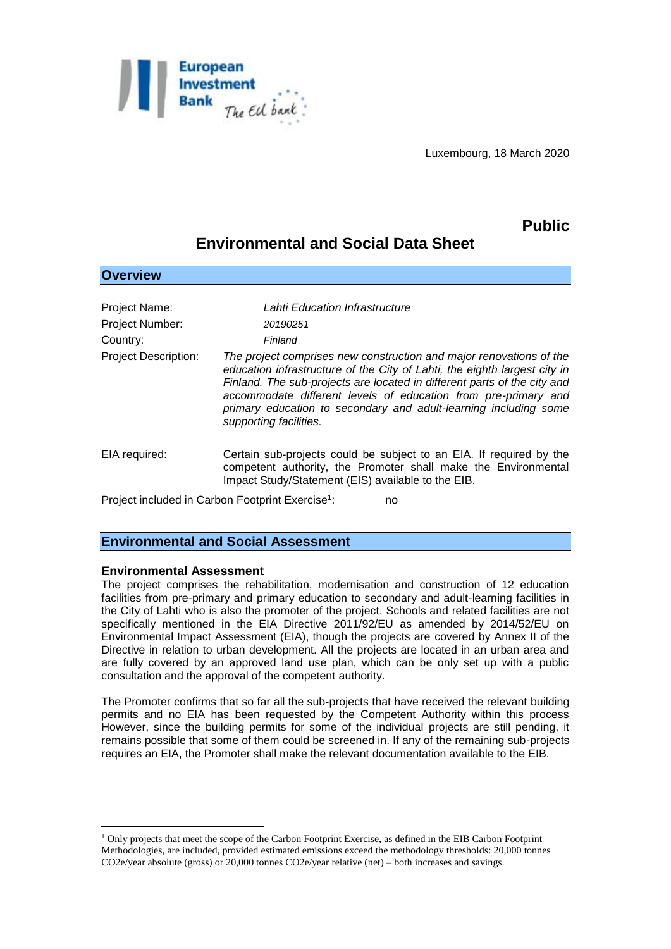

Luxembourg, 18 March 2020

# **Public**

## **Environmental and Social Data Sheet**

| Project Name:               | Lahti Education Infrastructure                                                                                                                                                                                                                                                                                                                                                               |
|-----------------------------|----------------------------------------------------------------------------------------------------------------------------------------------------------------------------------------------------------------------------------------------------------------------------------------------------------------------------------------------------------------------------------------------|
| Project Number:             | 20190251                                                                                                                                                                                                                                                                                                                                                                                     |
| Country:                    | Finland                                                                                                                                                                                                                                                                                                                                                                                      |
| <b>Project Description:</b> | The project comprises new construction and major renovations of the<br>education infrastructure of the City of Lahti, the eighth largest city in<br>Finland. The sub-projects are located in different parts of the city and<br>accommodate different levels of education from pre-primary and<br>primary education to secondary and adult-learning including some<br>supporting facilities. |
| EIA required:               | Certain sub-projects could be subject to an EIA. If required by the<br>competent authority, the Promoter shall make the Environmental<br>Impact Study/Statement (EIS) available to the EIB.                                                                                                                                                                                                  |
|                             |                                                                                                                                                                                                                                                                                                                                                                                              |

Project included in Carbon Footprint Exercise<sup>1</sup>: : no

## **Environmental and Social Assessment**

#### **Environmental Assessment**

1

**Overview**

The project comprises the rehabilitation, modernisation and construction of 12 education facilities from pre-primary and primary education to secondary and adult-learning facilities in the City of Lahti who is also the promoter of the project. Schools and related facilities are not specifically mentioned in the EIA Directive 2011/92/EU as amended by 2014/52/EU on Environmental Impact Assessment (EIA), though the projects are covered by Annex II of the Directive in relation to urban development. All the projects are located in an urban area and are fully covered by an approved land use plan, which can be only set up with a public consultation and the approval of the competent authority.

The Promoter confirms that so far all the sub-projects that have received the relevant building permits and no EIA has been requested by the Competent Authority within this process However, since the building permits for some of the individual projects are still pending, it remains possible that some of them could be screened in. If any of the remaining sub-projects requires an EIA, the Promoter shall make the relevant documentation available to the EIB.

<sup>1</sup> Only projects that meet the scope of the Carbon Footprint Exercise, as defined in the EIB Carbon Footprint Methodologies, are included, provided estimated emissions exceed the methodology thresholds: 20,000 tonnes CO2e/year absolute (gross) or 20,000 tonnes CO2e/year relative (net) – both increases and savings.